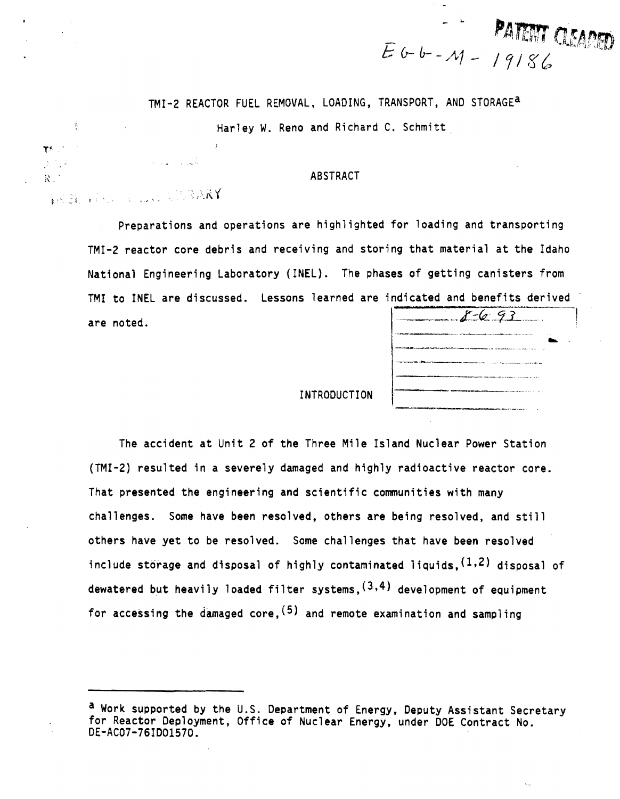TMI-2 REACTOR FUEL REMOVAL, LOADING, TRANSPORT, AND STORAGEa

Harley W. Reno and Richard C. Schmitt

#### ABSTRACT

**LEARY**  $i$  .  $i$  ,  $j$  ,  $j$  ,  $j$  ,  $j$  ,  $k$  ,  $k$  ,  $k$  ,  $k$  ,  $k$  ,  $k$ 

Ť.

 $\mathbb{R}$ 

Preparations and operations are highlighted for loading and transporting TMI-2 reactor core debris and receiving and storing that material at the Idaho National Engineering Laboratory (INEL). The phases of getting canisters from TMI to INEL are discussed. Lessons learned are indicated and benefits derived are noted.

| $8-6.93$                                                                          |
|-----------------------------------------------------------------------------------|
| and the construction and compared and construction of the company are a series of |
| <b>All continues and communications of a</b>                                      |
|                                                                                   |
|                                                                                   |
|                                                                                   |
|                                                                                   |

PANMI (AAAPED)

/ 71 g~

INTRODUCTION

The accident at Unit 2 of the Three Mile Island Nuclear Power Station (TMI-2) resulted in a severely damaged and highly radioactive reactor core. That presented the engineering and scientific communities with many challenges. Some have been resolved, others are being resolved, and still others have yet to be resolved. Some challenges that have been resolved include storage and disposal of highly contaminated liquids,  $(1,2)$  disposal of dewatered but heavily loaded filter systems,  $(3,4)$  development of equipment for accessing the damaged core,  $(5)$  and remote examination and sampling

<sup>&</sup>lt;sup>a</sup> Work supported by the U.S. Department of Energy, Deputy Assistant Secretary<br>for Reactor Deployment, Office of Nuclear Energy, under DOE Contract No. DE-AC07-76ID01570.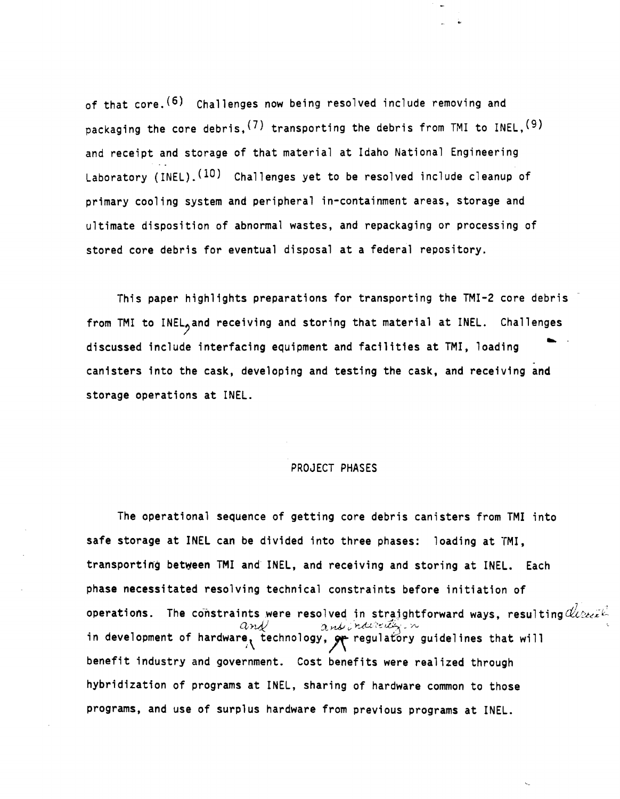of that core.<sup>(6)</sup> Challenges now being resolved include removing and packaging the core debris,  $(7)$  transporting the debris from TMI to INEL,  $(9)$ and receipt and storage of that material at Idaho National Engineering Laboratory (INEL).<sup>(10)</sup> Challenges yet to be resolved include cleanup of primary cooling system and peripheral in-containment areas, storage and ultimate disposition of abnormal wastes, and repackaging or processing of stored core debris for eventual disposal at a federal repository.

This paper highlights preparations for transporting the TMI-2 core debris from TMI to INEL<sub>2</sub> and receiving and storing that material at INEL. Challenges<br>discussed include interfacing equipment and facilities at TMI, loading<br>canisters into the cask, developing and testing the cask, and receivin storage operations at INEL.

### PROJECT PHASES

The operational sequence of getting core debris canisters from TMI into safe storage at INEl can be divided into three phases: loading at TMI, transporting between TMI and INEL, and receiving and storing at INEL. Each phase necessitated resolving technical constraints before initiation of operations. The constraints were resolved in straightforward ways, resulting  $d\ell_{\ell 2 \ell 2}$ and and and and the state of hardware, technology,  $\frac{\partial}{\partial r}$  regulatory guidelines that will benefit industry and government. Cost benefits were realized through hybridization of programs at INEL, sharing of hardware common to those programs, and use of surplus hardware from previous programs at INEL.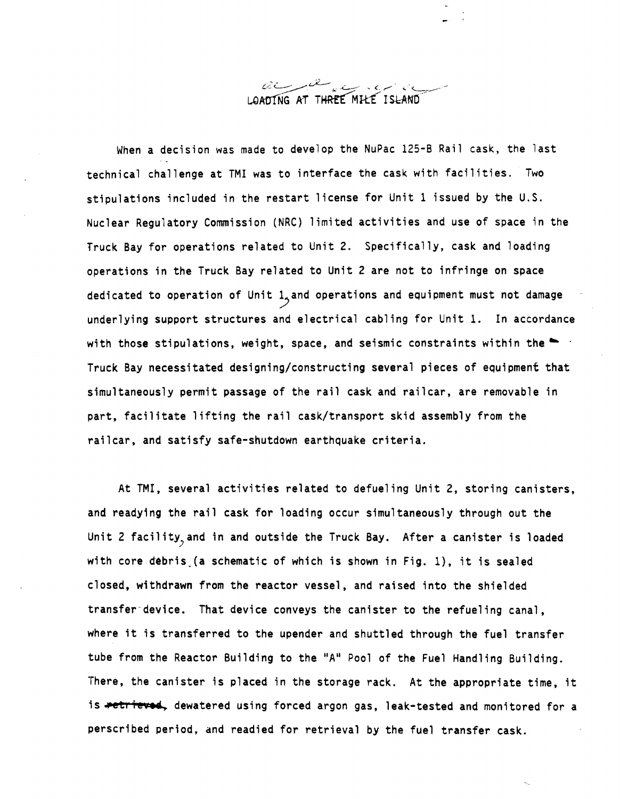

When a decision was made to develop the NuPac 125-B Rail cask, the last technical challenge at TMI was to interface the cask with facilities. Two stipulations included in the restart license for Unit 1 issued by the U.S. Nuclear Regu1atory Commission (NRC) limited activities and use of space in the Truck Bay for operations related to Unit 2. Specifically, cask and loading operations in the Truck Bay related to Unit 2 are not to infringe on space dedicated to operation of Unit  $1<sub>2</sub>$  and operations and equipment must not damage underlying support structures and electrical cabling for Unit 1. In accordance with those stipulations, weight, space, and seismic constraints within the  $\blacksquare$ Truck Bay necessitated designing/constructing several pieces of equipment that simultaneously permit passage of the rail cask and railcar, are removable in part. facilitate lifting the rail cask/transport skid assembly from the railcar. and satisfy safe-shutdown earthquake criteria.

At TMI, several activities related to defueling Unit 2, storing canisters. and readying the rail cask for loading occur simultaneously through out the Unit 2 facility, and in and outside the Truck Bay. After a canister is loaded with core debris.(a schematic of which is shown in Fig. I), it is sealed closed, withdrawn from the reactor vessel, and raised into the shielded transfer device. That device conveys the canister to the refueling canal, where it is transferred to the upender and shuttled through the fuel transfer tube from the Reactor Building to the "A" Pool of the Fuel Handling Building. There. the canister is placed in the storage rack. At the appropriate time, it is <del>retrieved</del>, dewatered using forced argon gas, leak-tested and monitored for a perscribed period, and readied for retrieval by the fuel transfer cask.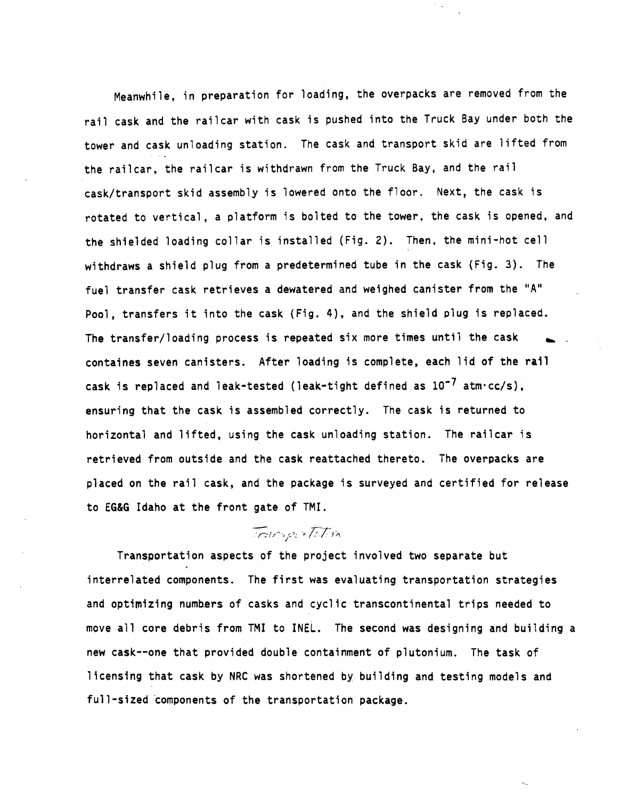Meanwhile, in preparation for loading, the overpacks are removed from the rail cask and the railcar with cask is pushed into the Truck Bay under both the tower and cask unloading station. The cask and transport skid are lifted from the railcar, the railcar is withdrawn from the Truck Bay, and the rail cask/transport skid assembly is lowered onto the floor. Next, the cask is rotated to vertical, a platform is bolted to the tower, the cask is opened, and the shielded loading collar is installed (Fig. 2). Then, the mini-hot cell withdraws a shield plug from a predetermined tube in the cask (Fig. 3). The fuel transfer cask retrieves a dewatered and weighed canister from the "A" Pool, transfers it into the cask (Fig. 4), and the shield plug is replaced. The transfer/loading process is repeated six more times until the cask containes seven canisters. After loading is complete, each lid of the rail cask is replaced and leak-tested (leak-tight defined as  $10^{-7}$  atm·cc/s), ensuring that the cask is assembled correctly. The cask is returned to horizontal and lifted. using the cask unloading station. The railcar is retrieved from outside and the cask reattached thereto. The overpacks are placed on the rail cask, and the package is surveyed and certified for release to EG&G Idaho at the front gate of TMI.

## Transportation

Transportation aspects of the project involved two separate but interrelated components. The first was evaluating transportation strategies and optimizing numbers of casks and cyclic transcontinental trips needed to move all core debris from TMI to INEL. The second was designing and building a new cask--one that provided double containment of plutonium. The task of licensing that cask by NRC was shortened by building and testing models and full-sized components of the transportation package.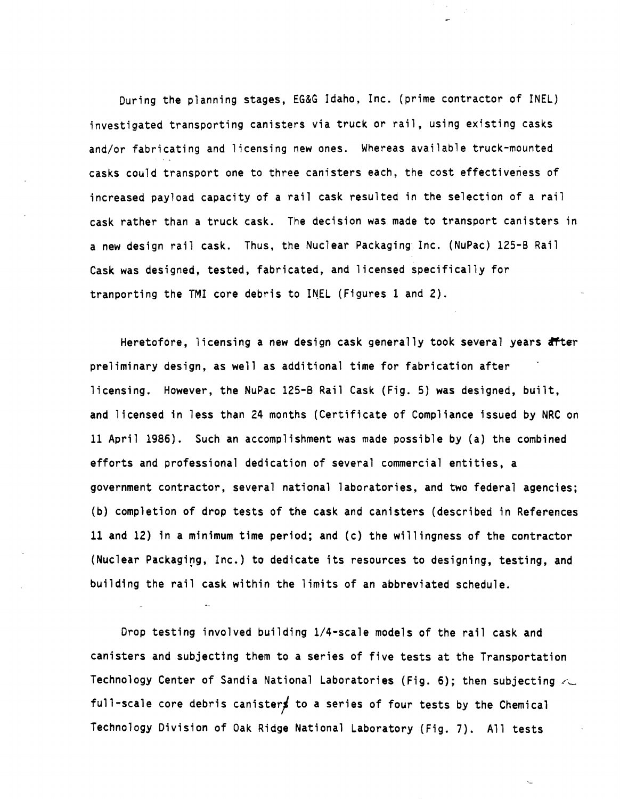During the planning stages, EG&G Idaho, Inc. (prime contractor of INEL) investigated transporting canisters via truck or rail, using existing casks and/or fabricating and licensing new ones. Whereas available truck-mounted casks could transport one to three canisters each, the cost effectiveness of increased payload capacity of a rail cask resulted in the selection of a rail cask rather than a truck cask. The decision was made to transport canisters in a new design rail cask. Thus, the Nuclear Packaging. Inc. (NuPac) 125-B Rail Cask was designed, tested, fabricated, and licensed specifically for tranporting the TMI core debris to INEL (Figures 1 and 2).

Heretofore, licensing a new design cask generally took several years after preliminary design, as well as additional time for fabrication after licensing. However, the NuPac 125-B Rail Cask (Fig. 5) was designed, built, and licensed in less than 24 months (Certificate of Compliance issued by NRC on 11 April 1986). Such an accomplishment was made possible by (a) the combined efforts and professional dedication of several commercial entities, a government contractor, several national laboratories, and two federal agencies; (b) completion of drop tests of the cask and canisters (described in References 11 and 12) in a minimum time period; and (c) the willingness of the contractor (Nuclear Packaging, Inc.) to dedicate its resources to designing, testing, and building the rail cask within the limits of an abbreviated schedule.

Drop testing involved building 1/4-scale models of the rail cask and canisters and subjecting them to a series of five tests at the Transportation Technology Center of Sandia National Laboratories (Fig. 6); then subjecting  $\lt\subset$ full-scale core debris canisters to a series of four tests by the Chemical Technology Division of Oak Ridge National Laboratory (Fig. 7). All tests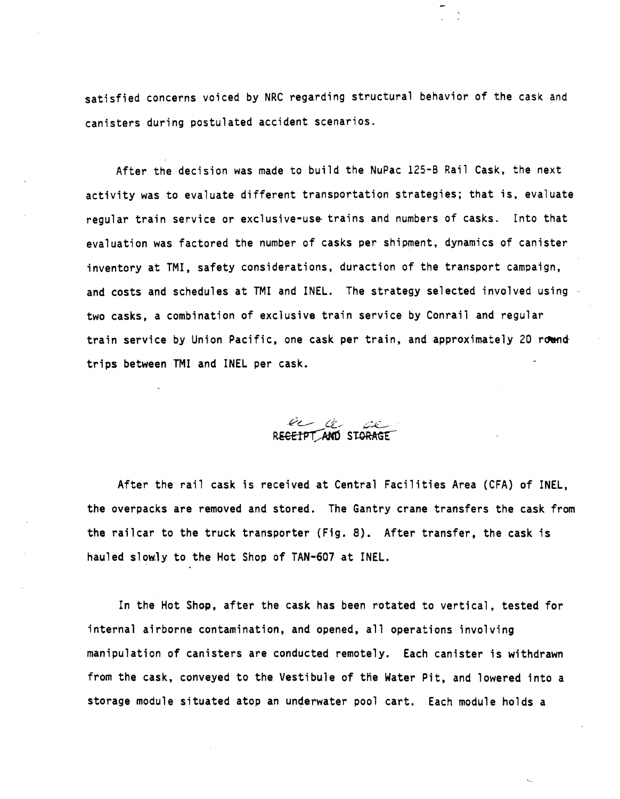satisfied concerns voiced by NRC regarding structural behavior of the cask and canisters during postulated accident scenarios.

After the decision was made to build the NuPac 125-6 Rail Cask, the next activity was to evaluate different transportation strategies; that is. evaluate regular train service or exclusive-use trains and numbers of casks. Into that evaluation was factored the number of casks per shipment, dynamics of canister inventory at TMI, safety considerations, duraction of the transport campaign, and costs and schedules at TMI and INEL. The strategy selected involved using two casks, a combination of exclusive train service by Conrail and regular train service by Union Pacific, one cask per train, and approximately 20 round trips between TMI and INEL per cask.



After the rail cask is received at Central Facilities Area (CFA) of INEL, the overpacks are removed and stored. The Gantry crane transfers the cask from the railcar to the truck transporter (Fig. 8). After transfer, the cask is hauled slowly to the Hot Shop of TAN-607 at INEL.

In the Hot Shop, after the cask has been rotated to vertical, tested for internal airborne contamination, and opened, all operations involving manipulation of canisters are conducted remotely. Each canister is withdrawn from the cask, conveyed to the Vestibule of the Water Pit, and lowered into a storage module situated atop an underwater pool cart. Each module holds a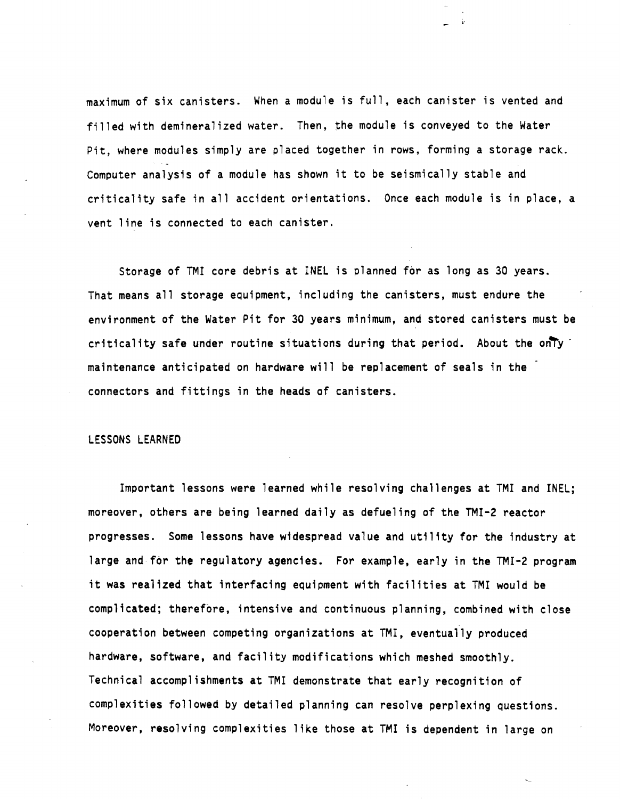maximum of six canisters. When a module is full, each canister is vented and filled with demineralized water. Then, the module is conveyed to the Water Pit, where modules simply are placed together in rows, forming a storage rack. Computer analysis of a module has shown it to be seismically stable and criticality safe in all accident orientations. Once each module is in place, a vent line is connected to each canister.

Storage of TMI core debris at INEL is planned for as long as 30 years. That means all storage equipment, including the canisters, must endure the environment of the Water Pit for 30 years minimum, and stored canisters must be criticality safe under routine situations during that period. About the only  $\cdot$ maintenance anticipated on hardware will be replacement of seals in the connectors and fittings in the heads of canisters.

#### LESSONS LEARNED

Important lessons were learned while resolving challenges at TMI and INEL; moreover, others are being learned daily as defueling of the TMI-2 reactor progresses. Some lessons have widespread value and utility for the industry at large and for the regulatory agencies. For example, early in the TMI-2 program it was realized that interfacing equipment with facilities at TMI would be complicated; therefore, intensive and continuous planning, combined with close cooperation between competing organizations at TMI, eventually produced hardware, software, and facility modifications which meshed smoothly. Technical accomplishments at TMI demonstrate that early recognition of complexities followed by detailed planning can resolve perplexing questions. Moreover, resolving complexities like those at TMI is dependent in large on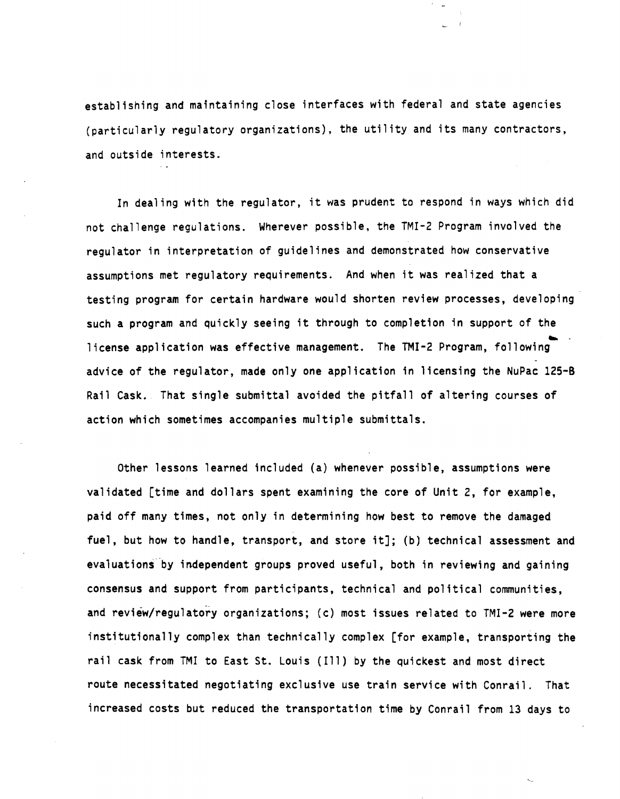establishing and maintaining close interfaces with federal and state agencies (particularly regulatory organizations), the utility and its many contractors, and outside interests.

In dealing with the regulator. it was prudent to respond in ways which did not challenge regulations. Wherever possible, the TMI-2 Program involved the regulator in interpretation of guidelines and demonstrated how conservative assumptions met regulatory requirements. And when it was realized that a testing program for certain hardware would shorten review processes, developing such a program and quickly seeing it through to completion in support of the .. license application was effective management. The TMI-2 Program, following advice of the regulator, made only one application in licensing the NuPac 125-8 Rail Cask. That single submittal avoided the pitfall of altering courses of action which sometimes accompanies multiple submittals.

Other lessons learned included (a) whenever possible, assumptions were validated [time and dollars spent examining the core of Unit 2, for example, paid off many times, not only in determining how best to remove the damaged fuel, but how to handle, transport, and store it]; (b) technical assessment and evaluations by independent groups proved useful, both in reviewing and gaining consensus and support from participants, technical and political communities, and review/regulatory organizations; (c) most issues related to TMI-2 were more institutionally complex than technically complex [for example. transporting the rail cask from TMI to East St. Louis (111) by the quickest and most direct route necessitated negotiating exclusive use train service with Conrail. That increased costs but reduced the transportation time by Conrail from 13 days to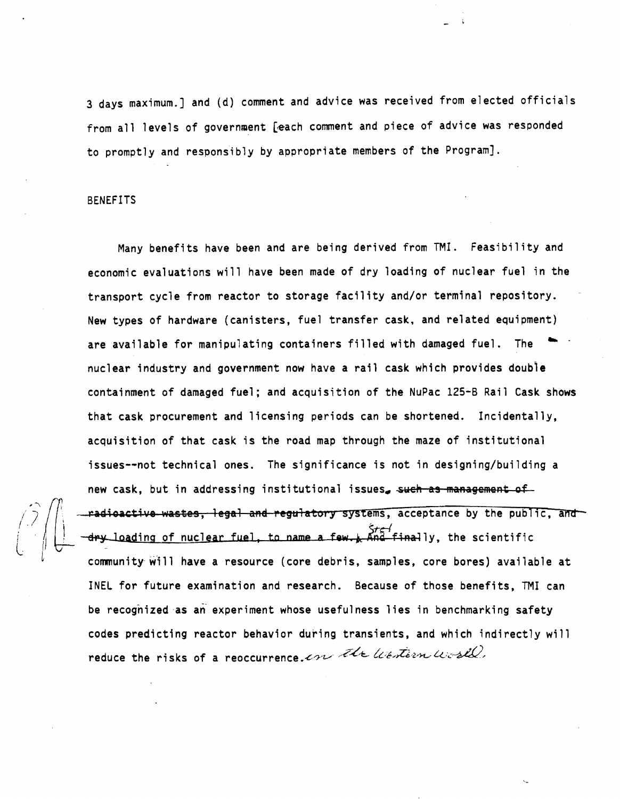3 days maximum.] and (d) comment and advice was received from elected officials from all levels of government [each comment and piece of advice was responded to promptly and responsibly by appropriate members of the Program].

#### BENEFITS

Many benefits have been and are being derived from TMI. Feasibility and economic evaluations will have been made of dry loading of nuclear fuel in the transport cycle from reactor to storage facility and/or terminal repository. New types of hardware (canisters, fuel transfer cask. and related equipment) are available for manipulating containers filled with damaged fuel. The nuclear industry and government now have a rail cask which provides double containment of damaged fuel; and acquisition of the NuPac 125-B Rail Cask shows that cask procurement and licensing periods can be shortened. Incidentally, acquisition of that cask is the road map through the maze of institutional issues--not technical ones. The significance is not in designing/building a new cask, but in addressing institutional issues, such as management of  $\sqrt{\frac{2}{\pi}}$   $\sqrt{\frac{4}{\pi}}$  -radioactive wastes, legal and regulatory systems, acceptance by the public, and  $\binom{?}{?}\begin{pmatrix}$  new cask,<br>defined to redication<br>community *i*f  $\left\{\begin{array}{ccc} \end{array}\right\}$  -dry loading of nuclear fuel, to name a few. And finally, the scientific community will have a resource (core debris, samples, core bores) available at INEL for future examination and research. Because of those benefits, TMI can be recognized as an" experiment whose usefulness lies in benchmarking safety codes predicting reactor behavior during transients, and which indirectly will reduce the risks of a reoccurrence. On the litestian world,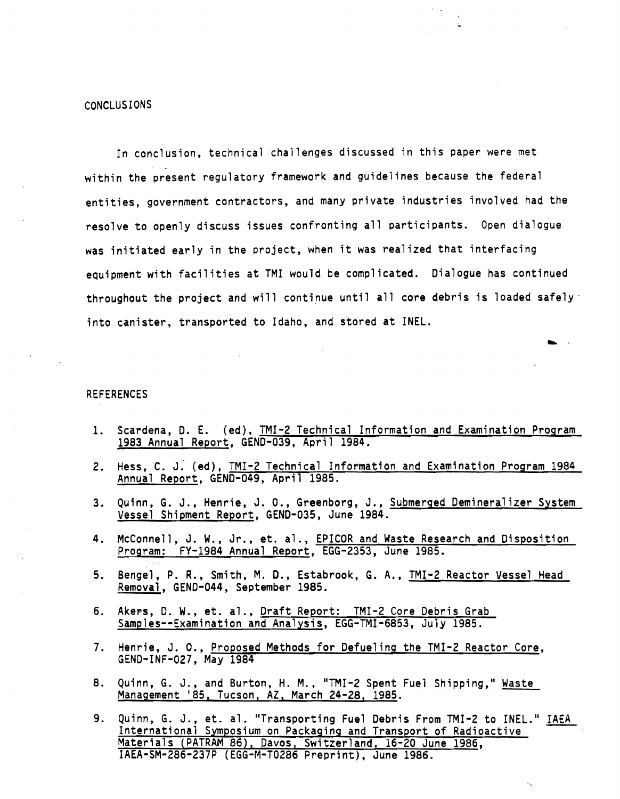In conclusion, technical challenges discussed in this paper were met within the present regulatory framework and guidelines because the federal entities, government contractors, and many private industries involved had the resolve to openly discuss issues confronting all participants. Open dialogue was initiated early in the project, when it was realized that interfacing equipment with facilities at TMI would be complicated. Dialogue has continued throughout the project and will continue until all core debris is loaded safely into canister, transported to Idaho, and stored at INEL.

#### REFERENCES

1. Scardena, D. E. (ed), TMI-2 Technical Information and Examination Program 1983 Annual Report, GEND-039, April 1984.

... .

- 2. Hess, C. J. (ed), TMI-2 Technical Information and Examination Program 1984 Annual Report, GEND-049, April 1985.
- 3. Quinn, G. J., Henrie, J. O., Greenborg, J., Submerged Demineralizer System Vessel Shipment Report, GEND-035, June 1984.
- 4. McConnell, J. W., Jr., et. al., EPICOR and Waste Research and Disposition Program: FY-1984 Annual Report, EGG-2353, June 1985.
- 5. Bengel, P. R., Smith, M. D., Estabrook, G. A., TMI-2 Reactor Vessel Head Removal, GEND-044, September 1985.
- 6. Akers, D. W., et. al., Draft Report: TMI-2 Core Debris Grab Samples--Examination and Analysis, EGG-TMI-6853. July 1985.
- 7. Henrie, J. 0., Proposed Methods for Defueling the TMI-2 Reactor Core, GEND-INF-027, May 1984
- 8. Quinn, G. J., and Burton, H. M., "TMI-2 Spent Fuel Shipping," Waste Management '85, Tucson, AZ, March 24-28, 1985.
- 9. Quinn, G. J., et. al. "Transporting Fuel Debris From TMI-2 to INEL." IAEA International Symposium on Packaging and Transport of Radioactive Materials (PATRAM 86), Davos, Switzerland, 16-20 June 1986, IAEA-SM-286-237P (EGG-M-T0286 Preprint), June 1986.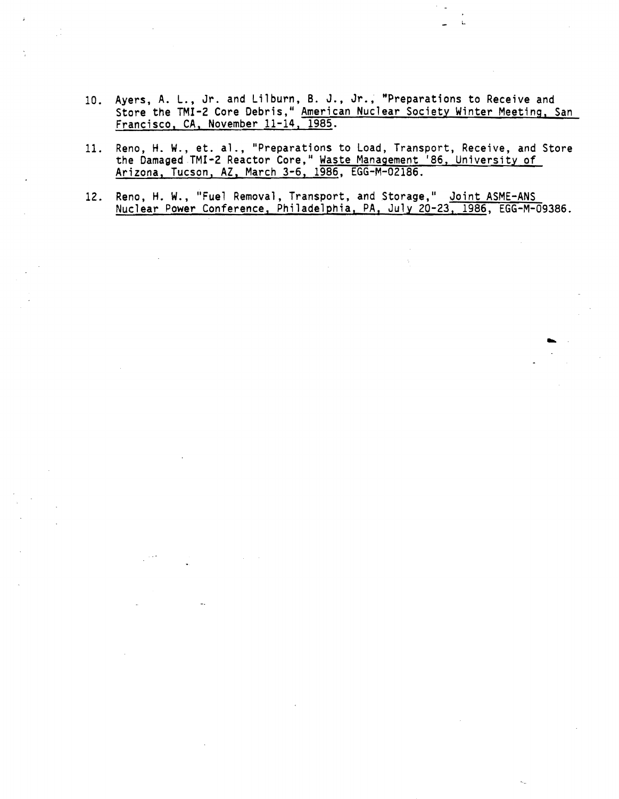- 10. Ayers, A. L., Jr. and Lilburn, B. J., Jr., "Preparations to Receive and Store the TMI-2 Core Debris," <u>American Nuclear Society Winter Meeting, San</u> Francisco, CA. November 11-14. 1985.
- 11. Reno, H. W., et. al., "Preparations to Load, Transport, Receive, and Store the Damaged TMI-2 Reactor Core," <u>Waste Management '86, University of</u> Arizona, Tucson, AZ , March 3-6, 1986, EGG-M-02186.
- 12. Reno, H. W., "Fuel Removal, Transport, and Storage," <u>Joint ASME-ANS</u> Nuclear Power Conference, Philadelphia, PA, July 20-23. 1986, EGG-M-09386 .

..